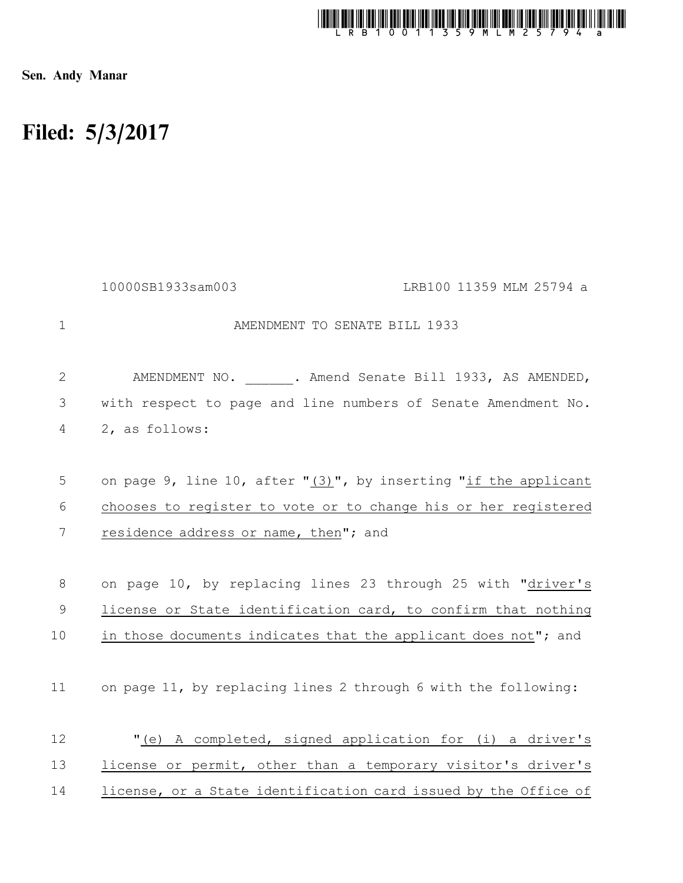

Sen. Andy Manar

## Filed: 5/3/2017

|                | 10000SB1933sam003<br>LRB100 11359 MLM 25794 a                       |
|----------------|---------------------------------------------------------------------|
| $\mathbf 1$    | AMENDMENT TO SENATE BILL 1933                                       |
| $\overline{2}$ | AMENDMENT NO. _____ . Amend Senate Bill 1933, AS AMENDED,           |
| 3              | with respect to page and line numbers of Senate Amendment No.       |
| 4              | 2, as follows:                                                      |
|                |                                                                     |
| 5              | on page 9, line 10, after " $(3)$ ", by inserting "if the applicant |
| 6              | chooses to register to vote or to change his or her registered      |
| 7              | residence address or name, then"; and                               |
|                |                                                                     |
| 8              | on page 10, by replacing lines 23 through 25 with "driver's         |
| $\mathsf{S}$   | license or State identification card, to confirm that nothing       |
| 10             | in those documents indicates that the applicant does not"; and      |
|                |                                                                     |
| 11             | on page 11, by replacing lines 2 through 6 with the following:      |
|                |                                                                     |
| 12             | "(e) A completed, signed application for (i) a driver's             |
| 13             | license or permit, other than a temporary visitor's driver's        |
| 14             | license, or a State identification card issued by the Office of     |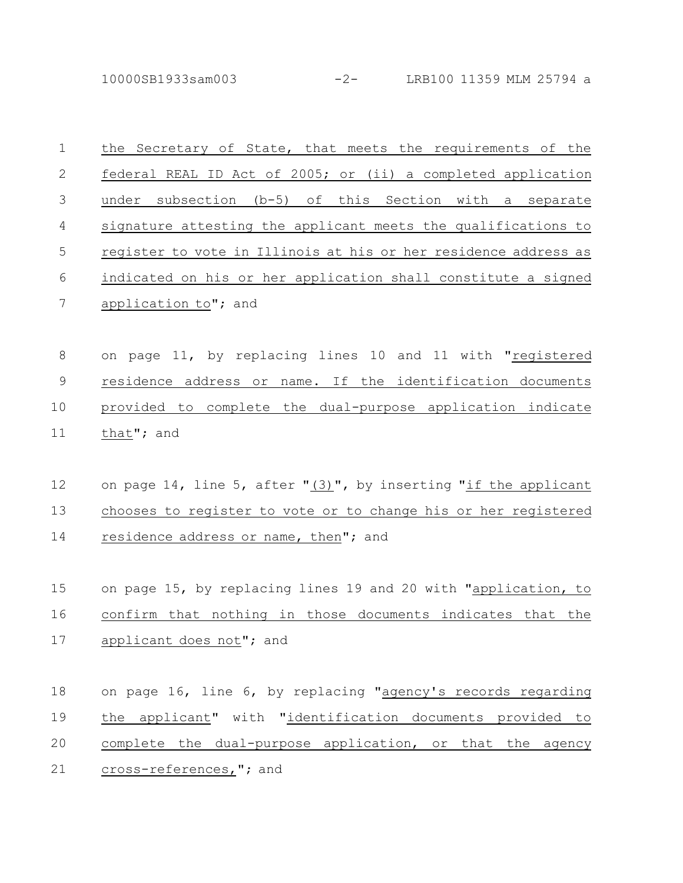10000SB1933sam003 -2- LRB100 11359 MLM 25794 a

| $\mathbf 1$ | the Secretary of State, that meets the requirements of the      |
|-------------|-----------------------------------------------------------------|
| 2           | federal REAL ID Act of 2005; or (ii) a completed application    |
| 3           | under subsection (b-5) of this Section with a separate          |
| 4           | signature attesting the applicant meets the qualifications to   |
| 5           | register to vote in Illinois at his or her residence address as |
| 6           | indicated on his or her application shall constitute a signed   |
| 7           | application to"; and                                            |
|             |                                                                 |
| 8           | on page 11, by replacing lines 10 and 11 with "registered       |
| $\mathsf 9$ | residence address or name. If the identification documents      |
| 10          | provided to complete the dual-purpose application indicate      |
| 11          | that"; and                                                      |
|             |                                                                 |
| 12          | on page 14, line 5, after "(3)", by inserting "if the applicant |
| 13          | chooses to register to vote or to change his or her registered  |
| 14          | residence address or name, then"; and                           |
|             |                                                                 |
| 15          |                                                                 |
|             | on page 15, by replacing lines 19 and 20 with "application, to  |
| 16          | confirm that nothing in those documents indicates that the      |
| 17          | applicant does not"; and                                        |
|             |                                                                 |
| 18          | on page 16, line 6, by replacing "agency's records regarding    |
| 19          | the applicant" with "identification documents provided to       |
| 20          | complete the dual-purpose application, or that the agency       |
| 21          | cross-references, "; and                                        |